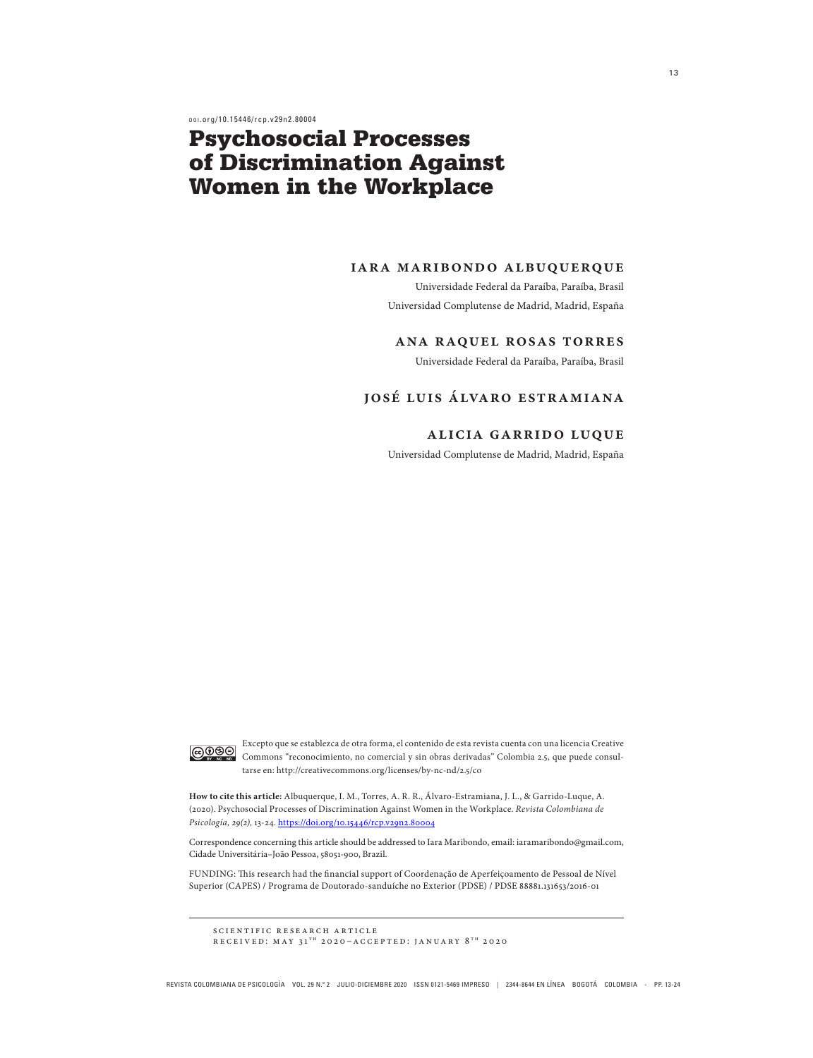d o i .org/10.15446/rcp.v29n2.80004

# Psychosocial Processes of Discrimination Against Women in the Workplace

#### **iara maribondo albuquerque**

Universidade Federal da Paraíba, Paraíba, Brasil Universidad Complutense de Madrid, Madrid, España

#### **ana raquel rosas torres**

Universidade Federal da Paraíba, Paraíba, Brasil

## **josé luis álvaro estramiana**

## **alicia garrido luque**

Universidad Complutense de Madrid, Madrid, España



Excepto que se establezca de otra forma, el contenido de esta revista cuenta con una licencia Creative Commons "reconocimiento, no comercial y sin obras derivadas" Colombia 2.5, que puede consultarse en: http://creativecommons.org/licenses/by-nc-nd/2.5/co

**How to cite this article:** Albuquerque, I. M., Torres, A. R. R., Álvaro-Estramiana, J. L., & Garrido-Luque, A. (2020). Psychosocial Processes of Discrimination Against Women in the Workplace. *Revista Colombiana de Psicología, 29(2),* 13-24. https://doi.org/10.15446/rcp.v29n2.80004

Correspondence concerning this article should be addressed to Iara Maribondo, email: iaramaribondo@gmail.com, Cidade Universitária–João Pessoa, 58051-900, Brazil.

FUNDING: This research had the financial support of Coordenação de Aperfeiçoamento de Pessoal de Nível Superior (CAPES) / Programa de Doutorado-sanduíche no Exterior (PDSE) / PDSE 88881.131653/2016-01

scientific research article RECEIVED: MAY  $31^{TH}$  2020-ACCEPTED: JANUARY  $8^{TH}$  2020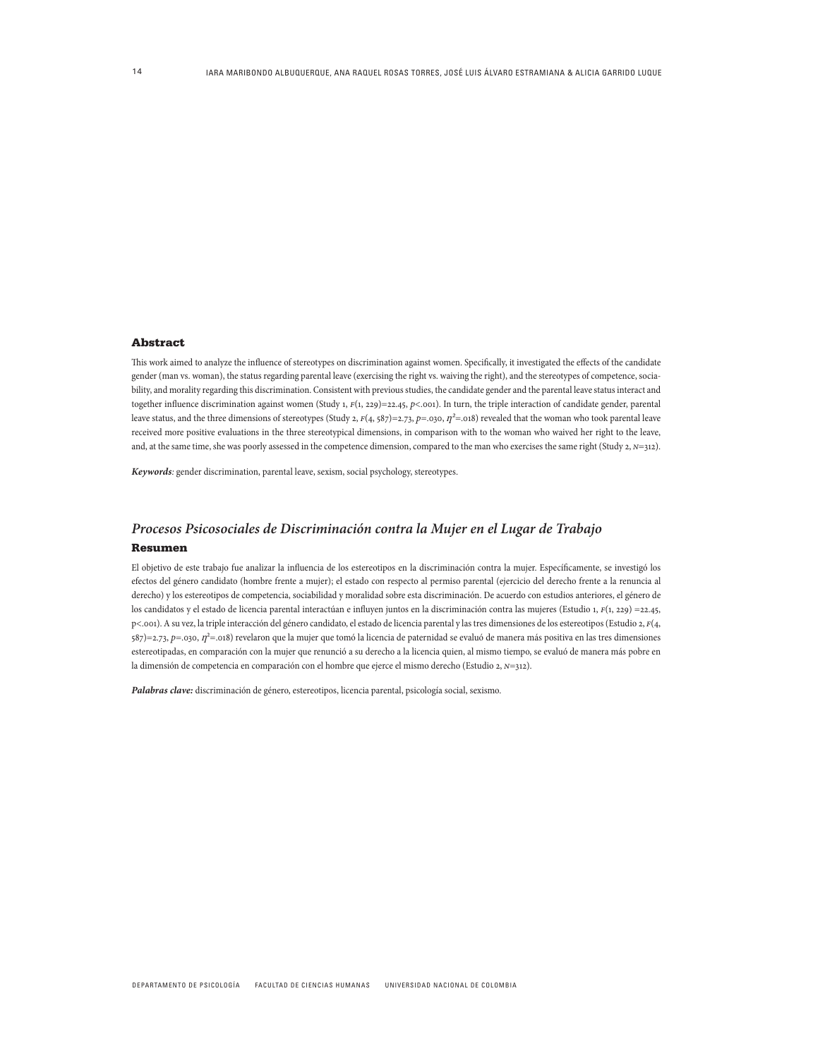#### Abstract

This work aimed to analyze the influence of stereotypes on discrimination against women. Specifically, it investigated the effects of the candidate gender (man vs. woman), the status regarding parental leave (exercising the right vs. waiving the right), and the stereotypes of competence, sociability, and morality regarding this discrimination. Consistent with previous studies, the candidate gender and the parental leave status interact and together influence discrimination against women (Study 1, *f*(1, 229)=22.45, *p*<.001). In turn, the triple interaction of candidate gender, parental leave status, and the three dimensions of stereotypes (Study 2, *F*(4, 587)=2.73, *p*=.030, *n*<sup>2</sup>=.018) revealed that the woman who took parental leave received more positive evaluations in the three stereotypical dimensions, in comparison with to the woman who waived her right to the leave, and, at the same time, she was poorly assessed in the competence dimension, compared to the man who exercises the same right (Study 2, *N*=312).

*Keywords:* gender discrimination, parental leave, sexism, social psychology, stereotypes.

#### *Procesos Psicosociales de Discriminación contra la Mujer en el Lugar de Trabajo*

#### Resumen

El objetivo de este trabajo fue analizar la influencia de los estereotipos en la discriminación contra la mujer. Específicamente, se investigó los efectos del género candidato (hombre frente a mujer); el estado con respecto al permiso parental (ejercicio del derecho frente a la renuncia al derecho) y los estereotipos de competencia, sociabilidad y moralidad sobre esta discriminación. De acuerdo con estudios anteriores, el género de los candidatos y el estado de licencia parental interactúan e influyen juntos en la discriminación contra las mujeres (Estudio 1, *f*(1, 229) =22.45, p<.001). A su vez, la triple interacción del género candidato, el estado de licencia parental y las tres dimensiones de los estereotipos (Estudio 2, *f*(4, 587)=2.73, p=.030,  $\eta^2$ =.018) revelaron que la mujer que tomó la licencia de paternidad se evaluó de manera más positiva en las tres dimensiones estereotipadas, en comparación con la mujer que renunció a su derecho a la licencia quien, al mismo tiempo, se evaluó de manera más pobre en la dimensión de competencia en comparación con el hombre que ejerce el mismo derecho (Estudio 2, *n*=312).

*Palabras clave:* discriminación de género, estereotipos, licencia parental, psicología social, sexismo.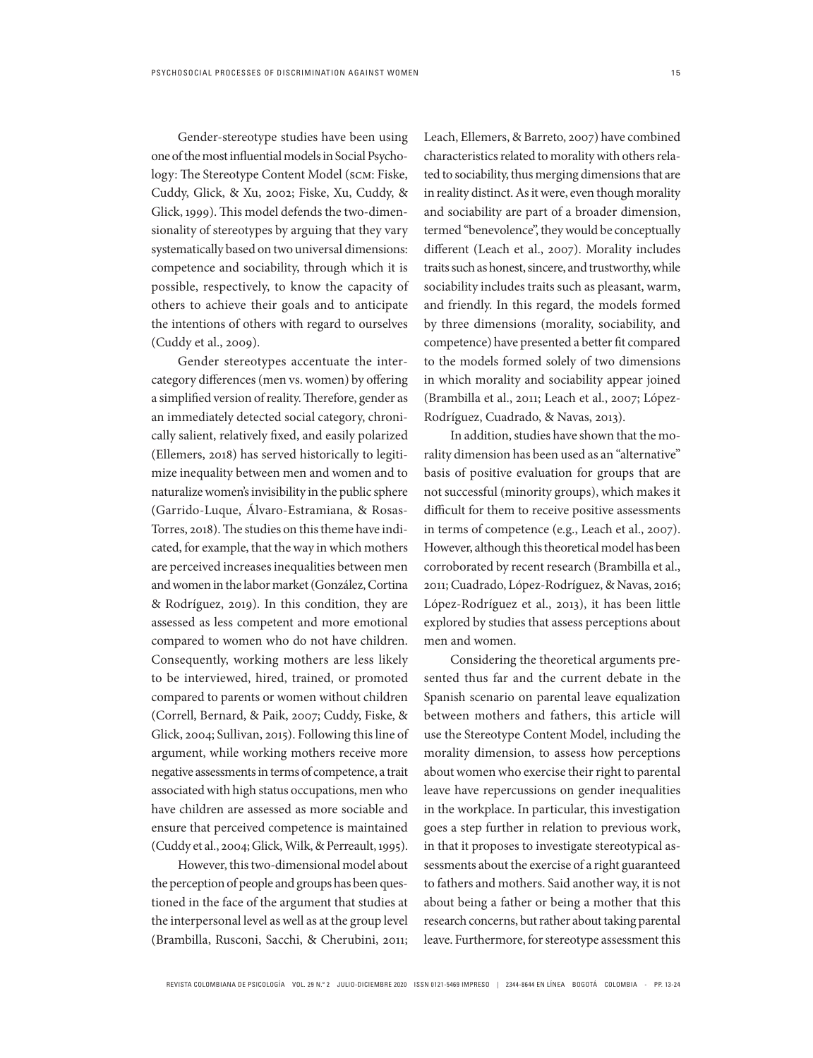Gender-stereotype studies have been using one of the most influential models in Social Psychology: The Stereotype Content Model (scm: Fiske, Cuddy, Glick, & Xu, 2002; Fiske, Xu, Cuddy, & Glick, 1999). This model defends the two-dimensionality of stereotypes by arguing that they vary systematically based on two universal dimensions: competence and sociability, through which it is possible, respectively, to know the capacity of others to achieve their goals and to anticipate the intentions of others with regard to ourselves (Cuddy et al., 2009).

Gender stereotypes accentuate the intercategory differences (men vs. women) by offering a simplified version of reality. Therefore, gender as an immediately detected social category, chronically salient, relatively fixed, and easily polarized (Ellemers, 2018) has served historically to legitimize inequality between men and women and to naturalize women's invisibility in the public sphere (Garrido-Luque, Álvaro-Estramiana, & Rosas-Torres, 2018). The studies on this theme have indicated, for example, that the way in which mothers are perceived increases inequalities between men and women in the labor market (González, Cortina & Rodríguez, 2019). In this condition, they are assessed as less competent and more emotional compared to women who do not have children. Consequently, working mothers are less likely to be interviewed, hired, trained, or promoted compared to parents or women without children (Correll, Bernard, & Paik, 2007; Cuddy, Fiske, & Glick, 2004; Sullivan, 2015). Following this line of argument, while working mothers receive more negative assessments in terms of competence, a trait associated with high status occupations, men who have children are assessed as more sociable and ensure that perceived competence is maintained (Cuddy et al., 2004; Glick, Wilk, & Perreault, 1995).

However, this two-dimensional model about the perception of people and groups has been questioned in the face of the argument that studies at the interpersonal level as well as at the group level (Brambilla, Rusconi, Sacchi, & Cherubini, 2011; Leach, Ellemers, & Barreto, 2007) have combined characteristics related to morality with others related to sociability, thus merging dimensions that are in reality distinct. As it were, even though morality and sociability are part of a broader dimension, termed "benevolence", they would be conceptually different (Leach et al., 2007). Morality includes traits such as honest, sincere, and trustworthy, while sociability includes traits such as pleasant, warm, and friendly. In this regard, the models formed by three dimensions (morality, sociability, and competence) have presented a better fit compared to the models formed solely of two dimensions in which morality and sociability appear joined (Brambilla et al., 2011; Leach et al., 2007; López-Rodríguez, Cuadrado, & Navas, 2013).

In addition, studies have shown that the morality dimension has been used as an "alternative" basis of positive evaluation for groups that are not successful (minority groups), which makes it difficult for them to receive positive assessments in terms of competence (e.g., Leach et al., 2007). However, although this theoretical model has been corroborated by recent research (Brambilla et al., 2011; Cuadrado, López-Rodríguez, & Navas, 2016; López-Rodríguez et al., 2013), it has been little explored by studies that assess perceptions about men and women.

Considering the theoretical arguments presented thus far and the current debate in the Spanish scenario on parental leave equalization between mothers and fathers, this article will use the Stereotype Content Model, including the morality dimension, to assess how perceptions about women who exercise their right to parental leave have repercussions on gender inequalities in the workplace. In particular, this investigation goes a step further in relation to previous work, in that it proposes to investigate stereotypical assessments about the exercise of a right guaranteed to fathers and mothers. Said another way, it is not about being a father or being a mother that this research concerns, but rather about taking parental leave. Furthermore, for stereotype assessment this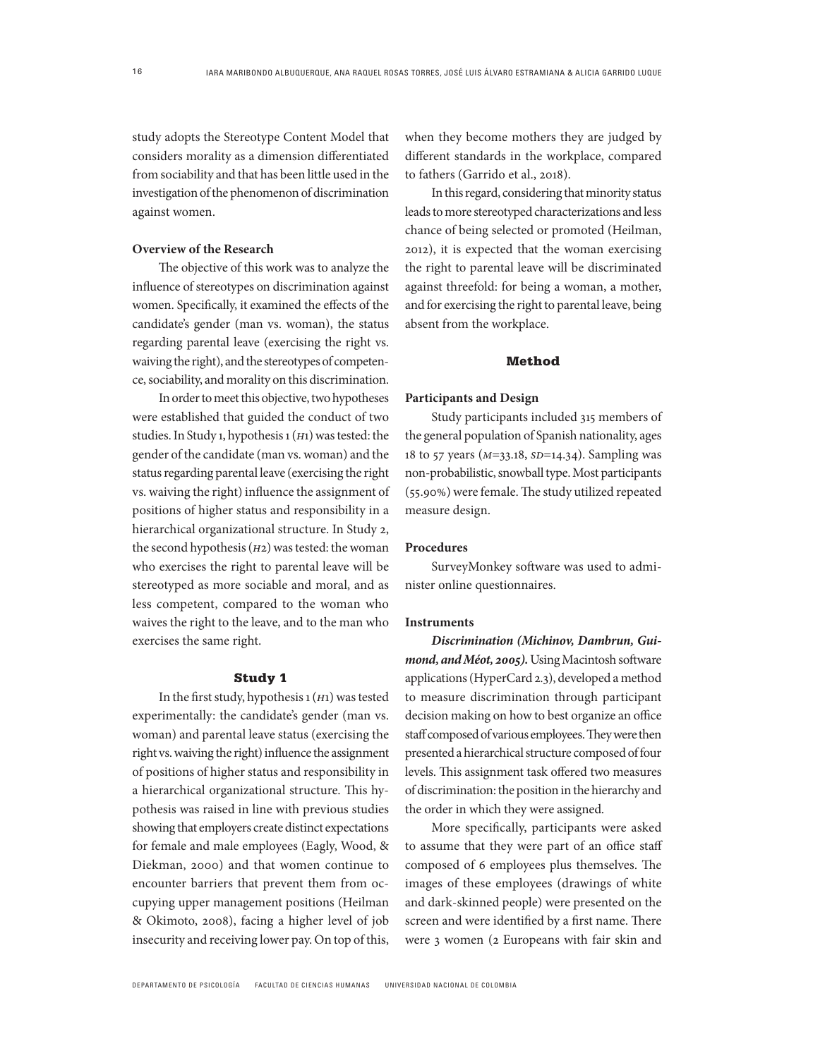study adopts the Stereotype Content Model that considers morality as a dimension differentiated from sociability and that has been little used in the investigation of the phenomenon of discrimination against women.

#### **Overview of the Research**

The objective of this work was to analyze the influence of stereotypes on discrimination against women. Specifically, it examined the effects of the candidate's gender (man vs. woman), the status regarding parental leave (exercising the right vs. waiving the right), and the stereotypes of competence, sociability, and morality on this discrimination.

In order to meet this objective, two hypotheses were established that guided the conduct of two studies. In Study 1, hypothesis 1 (*h*1) was tested: the gender of the candidate (man vs. woman) and the status regarding parental leave (exercising the right vs. waiving the right) influence the assignment of positions of higher status and responsibility in a hierarchical organizational structure. In Study 2, the second hypothesis (*h*2) was tested: the woman who exercises the right to parental leave will be stereotyped as more sociable and moral, and as less competent, compared to the woman who waives the right to the leave, and to the man who exercises the same right.

## Study 1

In the first study, hypothesis 1 (*h*1) was tested experimentally: the candidate's gender (man vs. woman) and parental leave status (exercising the right vs. waiving the right) influence the assignment of positions of higher status and responsibility in a hierarchical organizational structure. This hypothesis was raised in line with previous studies showing that employers create distinct expectations for female and male employees (Eagly, Wood, & Diekman, 2000) and that women continue to encounter barriers that prevent them from occupying upper management positions (Heilman & Okimoto, 2008), facing a higher level of job insecurity and receiving lower pay. On top of this, when they become mothers they are judged by different standards in the workplace, compared to fathers (Garrido et al., 2018).

In this regard, considering that minority status leads to more stereotyped characterizations and less chance of being selected or promoted (Heilman, 2012), it is expected that the woman exercising the right to parental leave will be discriminated against threefold: for being a woman, a mother, and for exercising the right to parental leave, being absent from the workplace.

#### Method

#### **Participants and Design**

Study participants included 315 members of the general population of Spanish nationality, ages 18 to 57 years (*m*=33.18, *sd*=14.34). Sampling was non-probabilistic, snowball type. Most participants (55.90%) were female. The study utilized repeated measure design.

## **Procedures**

SurveyMonkey software was used to administer online questionnaires.

#### **Instruments**

*Discrimination (Michinov, Dambrun, Guimond, and Méot, 2005).* Using Macintosh software applications (HyperCard 2.3), developed a method to measure discrimination through participant decision making on how to best organize an office staff composed of various employees. They were then presented a hierarchical structure composed of four levels. This assignment task offered two measures of discrimination: the position in the hierarchy and the order in which they were assigned.

More specifically, participants were asked to assume that they were part of an office staff composed of 6 employees plus themselves. The images of these employees (drawings of white and dark-skinned people) were presented on the screen and were identified by a first name. There were 3 women (2 Europeans with fair skin and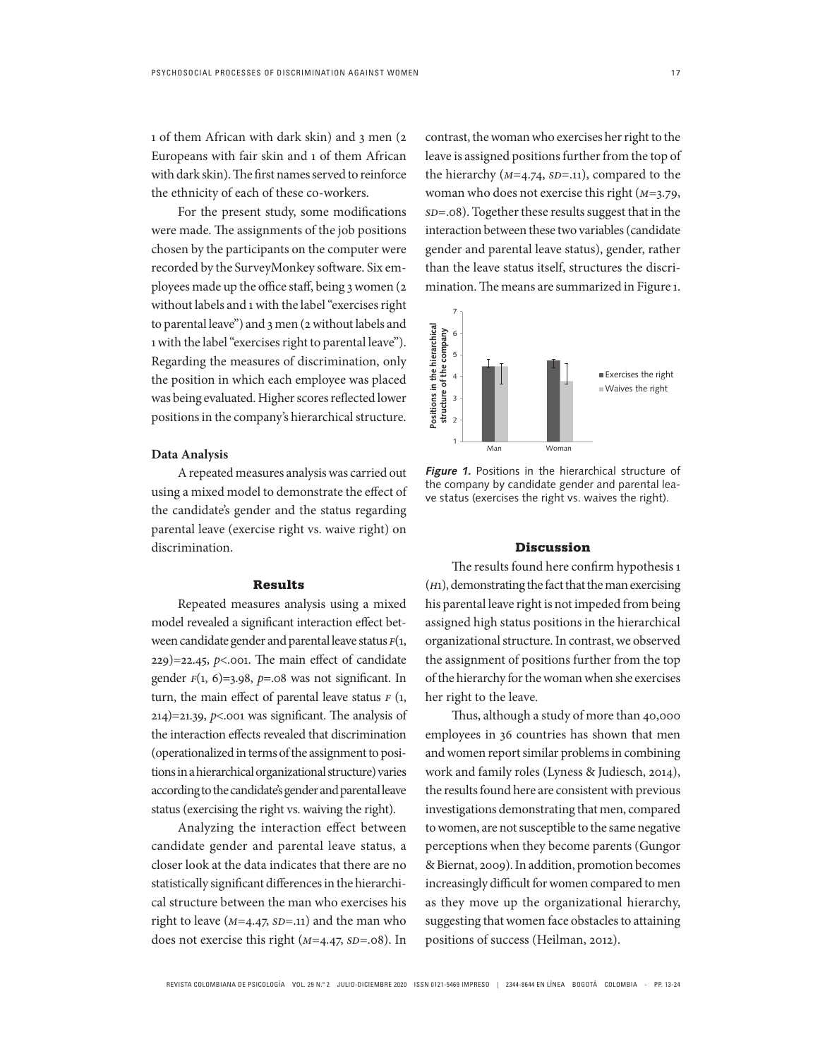1 of them African with dark skin) and 3 men (2 Europeans with fair skin and 1 of them African with dark skin). The first names served to reinforce the ethnicity of each of these co-workers.

For the present study, some modifications were made. The assignments of the job positions chosen by the participants on the computer were recorded by the SurveyMonkey software. Six employees made up the office staff, being 3 women (2 without labels and 1 with the label "exercises right to parental leave") and 3 men (2 without labels and 1 with the label "exercises right to parental leave"). Regarding the measures of discrimination, only the position in which each employee was placed was being evaluated. Higher scores reflected lower positions in the company's hierarchical structure.

#### **Data Analysis**

A repeated measures analysis was carried out using a mixed model to demonstrate the effect of the candidate's gender and the status regarding parental leave (exercise right vs. waive right) on discrimination.

#### Results

Repeated measures analysis using a mixed model revealed a significant interaction effect between candidate gender and parental leave status *f*(1, 229)=22.45, *p*<.001. The main effect of candidate gender  $F(1, 6)=3.98$ ,  $p=.08$  was not significant. In turn, the main effect of parental leave status  $F(1, 1)$  $214$ )=21.39, *p*<.001 was significant. The analysis of the interaction effects revealed that discrimination (operationalized in terms of the assignment to positions in a hierarchical organizational structure) varies according to the candidate's gender and parental leave status (exercising the right vs. waiving the right).

Analyzing the interaction effect between candidate gender and parental leave status, a closer look at the data indicates that there are no statistically significant differences in the hierarchical structure between the man who exercises his right to leave  $(M=4.47, SD=.11)$  and the man who does not exercise this right ( $M=4.47$ ,  $SD=.08$ ). In contrast, the woman who exercises her right to the leave is assigned positions further from the top of the hierarchy ( $M=4.74$ ,  $SD=.11$ ), compared to the woman who does not exercise this right (*m*=3.79, *sd*=.08). Together these results suggest that in the interaction between these two variables (candidate gender and parental leave status), gender, rather than the leave status itself, structures the discrimination. The means are summarized in Figure 1.



**Figure 1.** Positions in the hierarchical structure of the company by candidate gender and parental leave status (exercises the right vs. waives the right).

## Discussion

The results found here confirm hypothesis 1 (*h*1), demonstrating the fact that the man exercising his parental leave right is not impeded from being assigned high status positions in the hierarchical organizational structure. In contrast, we observed the assignment of positions further from the top of the hierarchy for the woman when she exercises her right to the leave.

Thus, although a study of more than 40,000 employees in 36 countries has shown that men and women report similar problems in combining work and family roles (Lyness & Judiesch, 2014), the results found here are consistent with previous investigations demonstrating that men, compared to women, are not susceptible to the same negative perceptions when they become parents (Gungor & Biernat, 2009). In addition, promotion becomes increasingly difficult for women compared to men as they move up the organizational hierarchy, suggesting that women face obstacles to attaining positions of success (Heilman, 2012).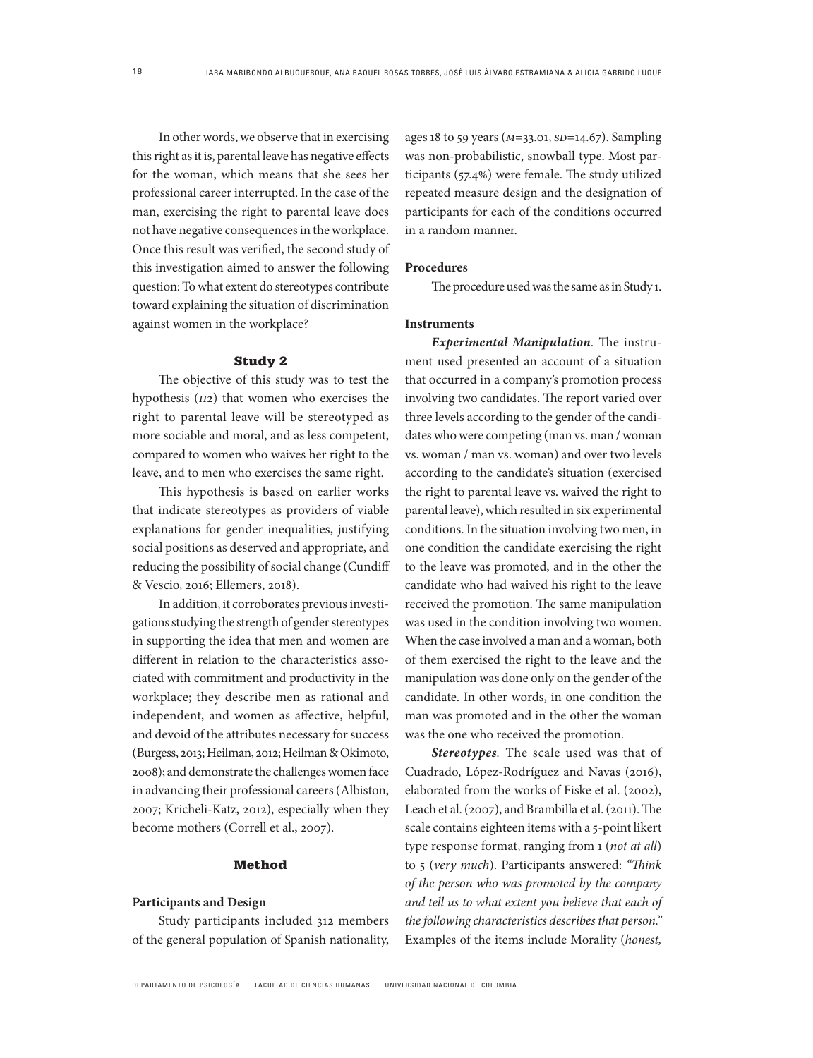In other words, we observe that in exercising this right as it is, parental leave has negative effects for the woman, which means that she sees her professional career interrupted. In the case of the man, exercising the right to parental leave does not have negative consequences in the workplace. Once this result was verified, the second study of this investigation aimed to answer the following question: To what extent do stereotypes contribute toward explaining the situation of discrimination against women in the workplace?

#### Study 2

The objective of this study was to test the hypothesis (*h*2) that women who exercises the right to parental leave will be stereotyped as more sociable and moral, and as less competent, compared to women who waives her right to the leave, and to men who exercises the same right.

This hypothesis is based on earlier works that indicate stereotypes as providers of viable explanations for gender inequalities, justifying social positions as deserved and appropriate, and reducing the possibility of social change (Cundiff & Vescio, 2016; Ellemers, 2018).

In addition, it corroborates previous investigations studying the strength of gender stereotypes in supporting the idea that men and women are different in relation to the characteristics associated with commitment and productivity in the workplace; they describe men as rational and independent, and women as affective, helpful, and devoid of the attributes necessary for success (Burgess, 2013; Heilman, 2012; Heilman & Okimoto, 2008); and demonstrate the challenges women face in advancing their professional careers (Albiston, 2007; Kricheli-Katz, 2012), especially when they become mothers (Correll et al., 2007).

## Method

## **Participants and Design**

Study participants included 312 members of the general population of Spanish nationality, ages 18 to 59 years (*m*=33.01, *sd*=14.67). Sampling was non-probabilistic, snowball type. Most participants (57.4%) were female. The study utilized repeated measure design and the designation of participants for each of the conditions occurred in a random manner.

#### **Procedures**

The procedure used was the same as in Study 1.

## **Instruments**

*Experimental Manipulation*. The instrument used presented an account of a situation that occurred in a company's promotion process involving two candidates. The report varied over three levels according to the gender of the candidates who were competing (man vs. man / woman vs. woman / man vs. woman) and over two levels according to the candidate's situation (exercised the right to parental leave vs. waived the right to parental leave), which resulted in six experimental conditions. In the situation involving two men, in one condition the candidate exercising the right to the leave was promoted, and in the other the candidate who had waived his right to the leave received the promotion. The same manipulation was used in the condition involving two women. When the case involved a man and a woman, both of them exercised the right to the leave and the manipulation was done only on the gender of the candidate. In other words, in one condition the man was promoted and in the other the woman was the one who received the promotion.

*Stereotypes.* The scale used was that of Cuadrado, López-Rodríguez and Navas (2016), elaborated from the works of Fiske et al. (2002), Leach et al. (2007), and Brambilla et al. (2011). The scale contains eighteen items with a 5-point likert type response format, ranging from 1 (*not at all*) to 5 (*very much*). Participants answered: *"Think of the person who was promoted by the company and tell us to what extent you believe that each of the following characteristics describes that person."* Examples of the items include Morality (*honest,*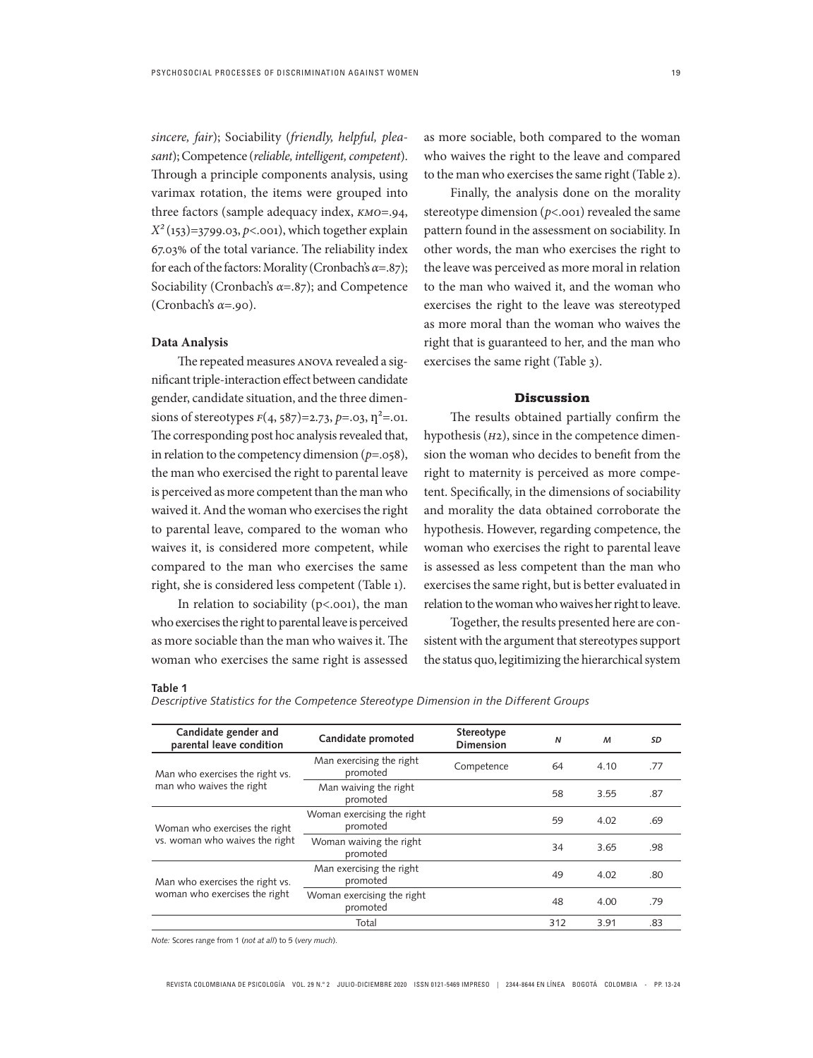19

*sincere, fair*); Sociability (*friendly, helpful, pleasant*); Competence (*reliable, intelligent, competent*). Through a principle components analysis, using varimax rotation, the items were grouped into three factors (sample adequacy index, *kmo*=.94,  $X^2(153)=3799.03, p<.001$ , which together explain 67.03% of the total variance. The reliability index for each of the factors: Morality (Cronbach's *α*=.87); Sociability (Cronbach's *α*=.87); and Competence (Cronbach's *α*=.90).

#### **Data Analysis**

The repeated measures anova revealed a significant triple-interaction effect between candidate gender, candidate situation, and the three dimensions of stereotypes  $F(4, 587) = 2.73$ ,  $p = .03$ ,  $n^2 = .01$ . The corresponding post hoc analysis revealed that, in relation to the competency dimension (*p*=.058), the man who exercised the right to parental leave is perceived as more competent than the man who waived it. And the woman who exercises the right to parental leave, compared to the woman who waives it, is considered more competent, while compared to the man who exercises the same right, she is considered less competent (Table 1).

In relation to sociability  $(p<.001)$ , the man who exercises the right to parental leave is perceived as more sociable than the man who waives it. The woman who exercises the same right is assessed as more sociable, both compared to the woman who waives the right to the leave and compared to the man who exercises the same right (Table 2).

Finally, the analysis done on the morality stereotype dimension ( $p$ <.001) revealed the same pattern found in the assessment on sociability. In other words, the man who exercises the right to the leave was perceived as more moral in relation to the man who waived it, and the woman who exercises the right to the leave was stereotyped as more moral than the woman who waives the right that is guaranteed to her, and the man who exercises the same right (Table 3).

## Discussion

The results obtained partially confirm the hypothesis (*h*2), since in the competence dimension the woman who decides to benefit from the right to maternity is perceived as more competent. Specifically, in the dimensions of sociability and morality the data obtained corroborate the hypothesis. However, regarding competence, the woman who exercises the right to parental leave is assessed as less competent than the man who exercises the same right, but is better evaluated in relation to the woman who waives her right to leave.

Together, the results presented here are consistent with the argument that stereotypes support the status quo, legitimizing the hierarchical system

#### **Table 1**

*Descriptive Statistics for the Competence Stereotype Dimension in the Different Groups*

| Candidate gender and<br>Stereotype<br>Candidate promoted<br>$\mathsf{N}$<br>parental leave condition<br><b>Dimension</b> | M    | SD  |
|--------------------------------------------------------------------------------------------------------------------------|------|-----|
| Man exercising the right<br>Competence<br>64<br>promoted<br>Man who exercises the right vs.                              | 4.10 | .77 |
| man who waives the right<br>Man waiving the right<br>58<br>promoted                                                      | 3.55 | .87 |
| Woman exercising the right<br>59<br>promoted<br>Woman who exercises the right                                            | 4.02 | .69 |
| vs. woman who waives the right<br>Woman waiving the right<br>34<br>promoted                                              | 3.65 | .98 |
| Man exercising the right<br>49<br>promoted<br>Man who exercises the right vs.                                            | 4.02 | .80 |
| woman who exercises the right<br>Woman exercising the right<br>48<br>promoted                                            | 4.00 | .79 |
| Total<br>312                                                                                                             | 3.91 | .83 |

*Note:* Scores range from 1 (*not at all*) to 5 (*very much*).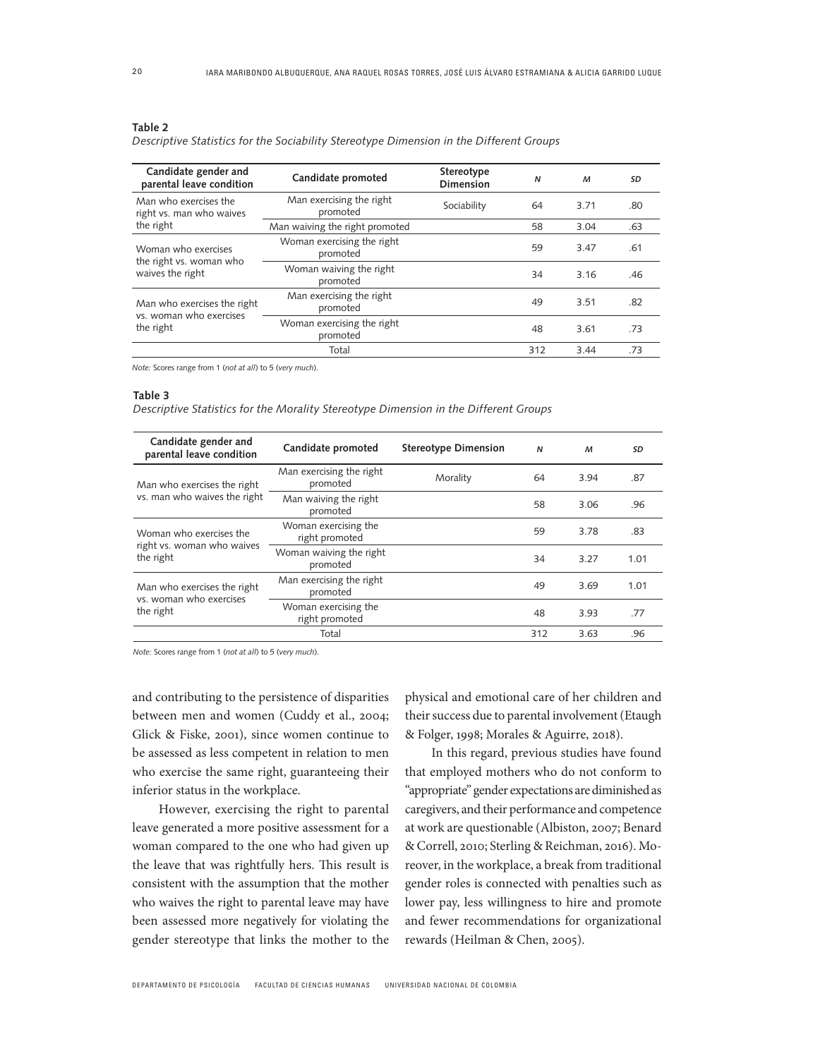#### **Table 2**

| Descriptive Statistics for the Sociability Stereotype Dimension in the Different Groups |
|-----------------------------------------------------------------------------------------|
|-----------------------------------------------------------------------------------------|

| Candidate gender and<br>parental leave condition                    | Candidate promoted                     | Stereotype<br><b>Dimension</b> | $\mathsf{N}$ | $\boldsymbol{M}$ | SD  |
|---------------------------------------------------------------------|----------------------------------------|--------------------------------|--------------|------------------|-----|
| Man who exercises the<br>right vs. man who waives<br>the right      | Man exercising the right<br>promoted   | Sociability                    | 64           | 3.71             | .80 |
|                                                                     | Man waiving the right promoted         |                                | 58           | 3.04             | .63 |
| Woman who exercises<br>the right vs. woman who<br>waives the right  | Woman exercising the right<br>promoted |                                | 59           | 3.47             | .61 |
|                                                                     | Woman waiving the right<br>promoted    |                                | 34           | 3.16             | .46 |
| Man who exercises the right<br>vs. woman who exercises<br>the right | Man exercising the right<br>promoted   |                                | 49           | 3.51             | .82 |
|                                                                     | Woman exercising the right<br>promoted |                                | 48           | 3.61             | .73 |
|                                                                     | Total                                  |                                | 312          | 3.44             | .73 |

*Note:* Scores range from 1 (*not at all*) to 5 (*very much*).

#### **Table 3**

*Descriptive Statistics for the Morality Stereotype Dimension in the Different Groups*

| Candidate gender and<br>parental leave condition                    | Candidate promoted                     | <b>Stereotype Dimension</b> | $\boldsymbol{\mathsf{N}}$ | M    | SD   |
|---------------------------------------------------------------------|----------------------------------------|-----------------------------|---------------------------|------|------|
| Man who exercises the right<br>vs. man who waives the right         | Man exercising the right<br>promoted   | Morality                    | 64                        | 3.94 | .87  |
|                                                                     | Man waiving the right<br>promoted      |                             | 58                        | 3.06 | .96  |
| Woman who exercises the<br>right vs. woman who waives<br>the right  | Woman exercising the<br>right promoted |                             | 59                        | 3.78 | .83  |
|                                                                     | Woman waiving the right<br>promoted    |                             | 34                        | 3.27 | 1.01 |
| Man who exercises the right<br>vs. woman who exercises<br>the right | Man exercising the right<br>promoted   |                             | 49                        | 3.69 | 1.01 |
|                                                                     | Woman exercising the<br>right promoted |                             | 48                        | 3.93 | .77  |
|                                                                     | Total                                  |                             | 312                       | 3.63 | .96  |

*Note:* Scores range from 1 (*not at all*) to 5 (*very much*).

and contributing to the persistence of disparities between men and women (Cuddy et al., 2004; Glick & Fiske, 2001), since women continue to be assessed as less competent in relation to men who exercise the same right, guaranteeing their inferior status in the workplace.

However, exercising the right to parental leave generated a more positive assessment for a woman compared to the one who had given up the leave that was rightfully hers. This result is consistent with the assumption that the mother who waives the right to parental leave may have been assessed more negatively for violating the gender stereotype that links the mother to the physical and emotional care of her children and their success due to parental involvement (Etaugh & Folger, 1998; Morales & Aguirre, 2018).

In this regard, previous studies have found that employed mothers who do not conform to "appropriate" gender expectations are diminished as caregivers, and their performance and competence at work are questionable (Albiston, 2007; Benard & Correll, 2010; Sterling & Reichman, 2016). Moreover, in the workplace, a break from traditional gender roles is connected with penalties such as lower pay, less willingness to hire and promote and fewer recommendations for organizational rewards (Heilman & Chen, 2005).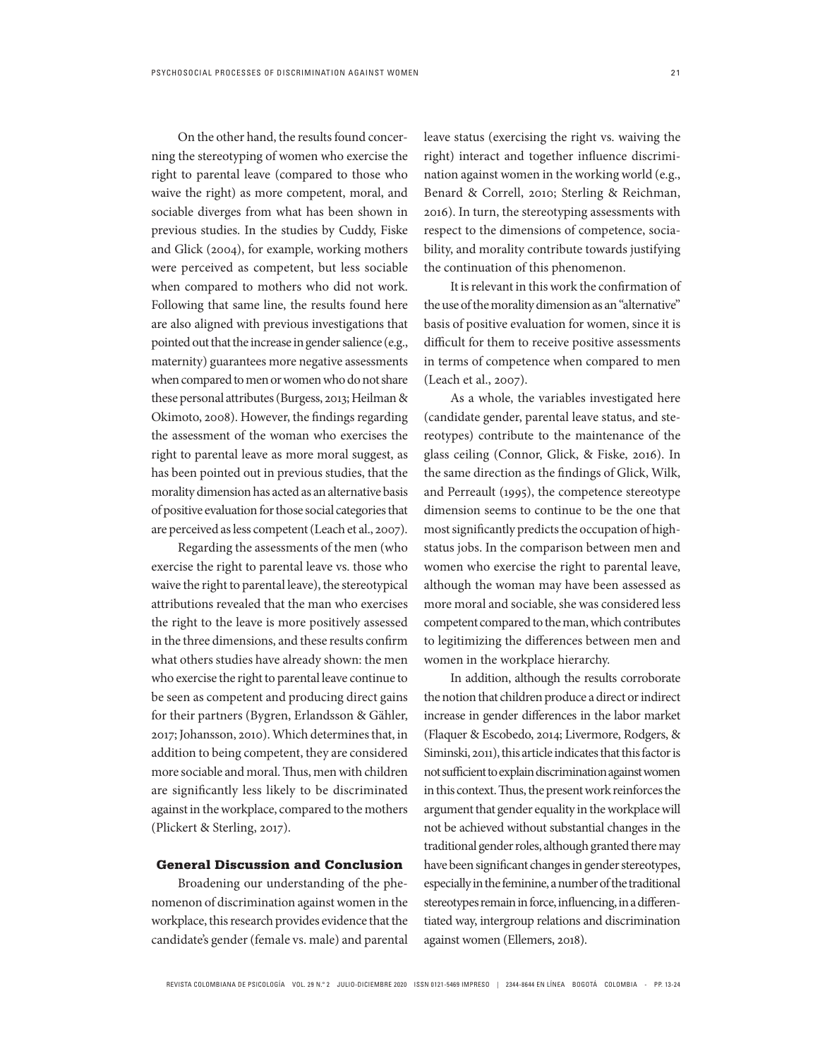On the other hand, the results found concerning the stereotyping of women who exercise the right to parental leave (compared to those who waive the right) as more competent, moral, and sociable diverges from what has been shown in previous studies. In the studies by Cuddy, Fiske and Glick (2004), for example, working mothers were perceived as competent, but less sociable when compared to mothers who did not work. Following that same line, the results found here are also aligned with previous investigations that pointed out that the increase in gender salience (e.g., maternity) guarantees more negative assessments when compared to men or women who do not share these personal attributes (Burgess, 2013; Heilman & Okimoto, 2008). However, the findings regarding the assessment of the woman who exercises the right to parental leave as more moral suggest, as has been pointed out in previous studies, that the morality dimension has acted as an alternative basis of positive evaluation for those social categories that are perceived as less competent (Leach et al., 2007).

Regarding the assessments of the men (who exercise the right to parental leave vs. those who waive the right to parental leave), the stereotypical attributions revealed that the man who exercises the right to the leave is more positively assessed in the three dimensions, and these results confirm what others studies have already shown: the men who exercise the right to parental leave continue to be seen as competent and producing direct gains for their partners (Bygren, Erlandsson & Gähler, 2017; Johansson, 2010). Which determines that, in addition to being competent, they are considered more sociable and moral. Thus, men with children are significantly less likely to be discriminated against in the workplace, compared to the mothers (Plickert & Sterling, 2017).

## General Discussion and Conclusion

Broadening our understanding of the phenomenon of discrimination against women in the workplace, this research provides evidence that the candidate's gender (female vs. male) and parental leave status (exercising the right vs. waiving the right) interact and together influence discrimination against women in the working world (e.g., Benard & Correll, 2010; Sterling & Reichman, 2016). In turn, the stereotyping assessments with respect to the dimensions of competence, sociability, and morality contribute towards justifying the continuation of this phenomenon.

It is relevant in this work the confirmation of the use of the morality dimension as an "alternative" basis of positive evaluation for women, since it is difficult for them to receive positive assessments in terms of competence when compared to men (Leach et al., 2007).

As a whole, the variables investigated here (candidate gender, parental leave status, and stereotypes) contribute to the maintenance of the glass ceiling (Connor, Glick, & Fiske, 2016). In the same direction as the findings of Glick, Wilk, and Perreault (1995), the competence stereotype dimension seems to continue to be the one that most significantly predicts the occupation of highstatus jobs. In the comparison between men and women who exercise the right to parental leave, although the woman may have been assessed as more moral and sociable, she was considered less competent compared to the man, which contributes to legitimizing the differences between men and women in the workplace hierarchy.

In addition, although the results corroborate the notion that children produce a direct or indirect increase in gender differences in the labor market (Flaquer & Escobedo, 2014; Livermore, Rodgers, & Siminski, 2011), this article indicates that this factor is not sufficient to explain discrimination against women in this context. Thus, the present work reinforces the argument that gender equality in the workplace will not be achieved without substantial changes in the traditional gender roles, although granted there may have been significant changes in gender stereotypes, especially in the feminine, a number of the traditional stereotypes remain in force, influencing, in a differentiated way, intergroup relations and discrimination against women (Ellemers, 2018).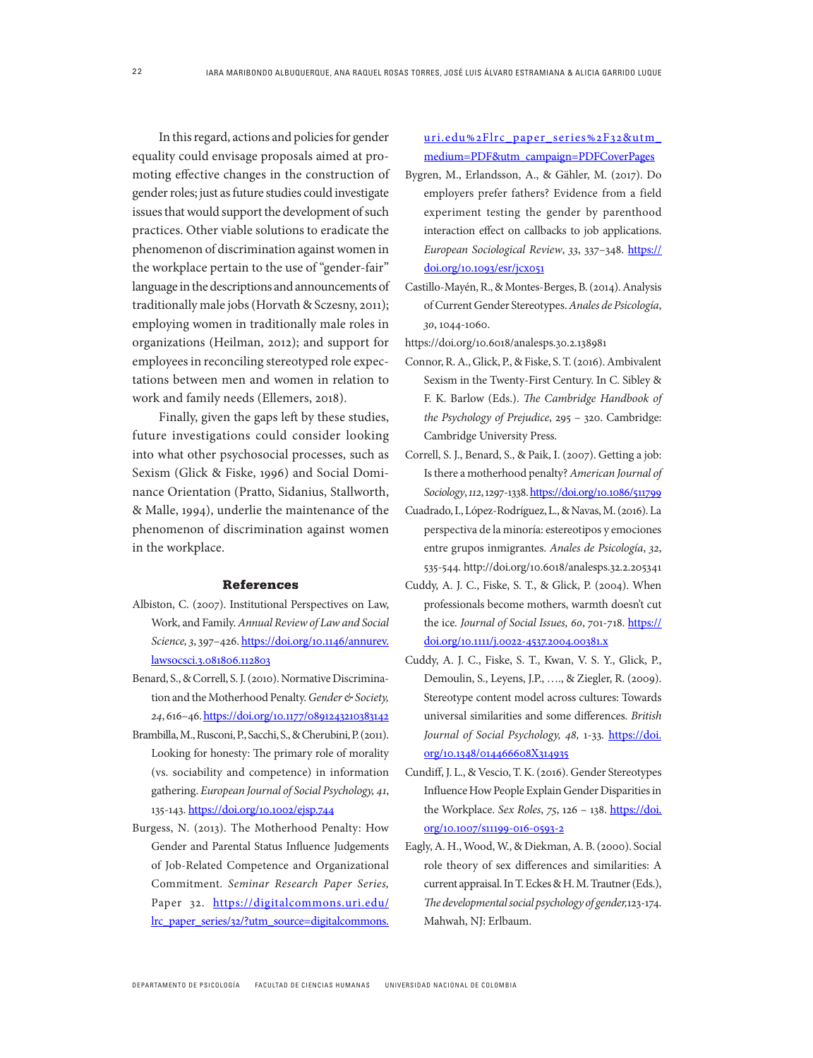In this regard, actions and policies for gender equality could envisage proposals aimed at promoting effective changes in the construction of gender roles; just as future studies could investigate issues that would support the development of such practices. Other viable solutions to eradicate the phenomenon of discrimination against women in the workplace pertain to the use of "gender-fair" language in the descriptions and announcements of traditionally male jobs (Horvath & Sczesny, 2011); employing women in traditionally male roles in organizations (Heilman, 2012); and support for employees in reconciling stereotyped role expectations between men and women in relation to work and family needs (Ellemers, 2018).

Finally, given the gaps left by these studies, future investigations could consider looking into what other psychosocial processes, such as Sexism (Glick & Fiske, 1996) and Social Dominance Orientation (Pratto, Sidanius, Stallworth, & Malle, 1994), underlie the maintenance of the phenomenon of discrimination against women in the workplace.

#### References

- Albiston, C. (2007). Institutional Perspectives on Law, Work, and Family. *Annual Review of Law and Social Science,3*, 397–426. https://doi.org/10.1146/annurev. lawsocsci.3.081806.112803
- Benard, S., & Correll, S. J. (2010). Normative Discrimination and the Motherhood Penalty. *Gender & Society, 24*, 616–46. https://doi.org/10.1177/0891243210383142
- Brambilla, M., Rusconi, P., Sacchi, S., & Cherubini, P. (2011). Looking for honesty: The primary role of morality (vs. sociability and competence) in information gathering. *European Journal of Social Psychology, 41*, 135-143. https://doi.org/10.1002/ejsp.744
- Burgess, N. (2013). The Motherhood Penalty: How Gender and Parental Status Influence Judgements of Job-Related Competence and Organizational Commitment. *Seminar Research Paper Series,*  Paper 32. https://digitalcommons.uri.edu/ lrc\_paper\_series/32/?utm\_source=digitalcommons.

uri.edu%2Flrc\_paper\_series%2F32&utm\_ medium=PDF&utm\_campaign=PDFCoverPages

- Bygren, M., Erlandsson, A., & Gähler, M. (2017). Do employers prefer fathers? Evidence from a field experiment testing the gender by parenthood interaction effect on callbacks to job applications. *European Sociological Review*, *33*, 337–348. https:// doi.org/10.1093/esr/jcx051
- Castillo-Mayén, R., & Montes-Berges, B. (2014). Analysis of Current Gender Stereotypes. *Anales de Psicología*, *30*, 1044-1060.

https://doi.org/10.6018/analesps.30.2.138981

- Connor, R. A., Glick, P., & Fiske, S. T. (2016). Ambivalent Sexism in the Twenty-First Century. In C. Sibley & F. K. Barlow (Eds.). *The Cambridge Handbook of the Psychology of Prejudice*, 295 – 320. Cambridge: Cambridge University Press.
- Correll, S. J., Benard, S., & Paik, I. (2007). Getting a job: Is there a motherhood penalty? *American Journal of Sociology*, *112*, 1297-1338. https://doi.org/10.1086/511799
- Cuadrado, I., López-Rodríguez, L., & Navas, M. (2016). La perspectiva de la minoría: estereotipos y emociones entre grupos inmigrantes. *Anales de Psicología*, *32*, 535-544. http://doi.org/10.6018/analesps.32.2.205341
- Cuddy, A. J. C., Fiske, S. T., & Glick, P. (2004). When professionals become mothers, warmth doesn't cut the ice*. Journal of Social Issues, 60*, 701-718. https:// doi.org/10.1111/j.0022-4537.2004.00381.x
- Cuddy, A. J. C., Fiske, S. T., Kwan, V. S. Y., Glick, P., Demoulin, S., Leyens, J.P., …., & Ziegler, R. (2009). Stereotype content model across cultures: Towards universal similarities and some differences. *British Journal of Social Psychology, 48,* 1-33*.* https://doi. org/10.1348/014466608X314935
- Cundiff, J. L., & Vescio, T. K. (2016). Gender Stereotypes Influence How People Explain Gender Disparities in the Workplace. *Sex Roles*, *75*, 126 – 138. https://doi. org/10.1007/s11199-016-0593-2
- Eagly, A. H., Wood, W., & Diekman, A. B. (2000). Social role theory of sex differences and similarities: A current appraisal. In T. Eckes & H. M. Trautner (Eds.), *The developmental social psychology of gender,*123-174. Mahwah, NJ: Erlbaum.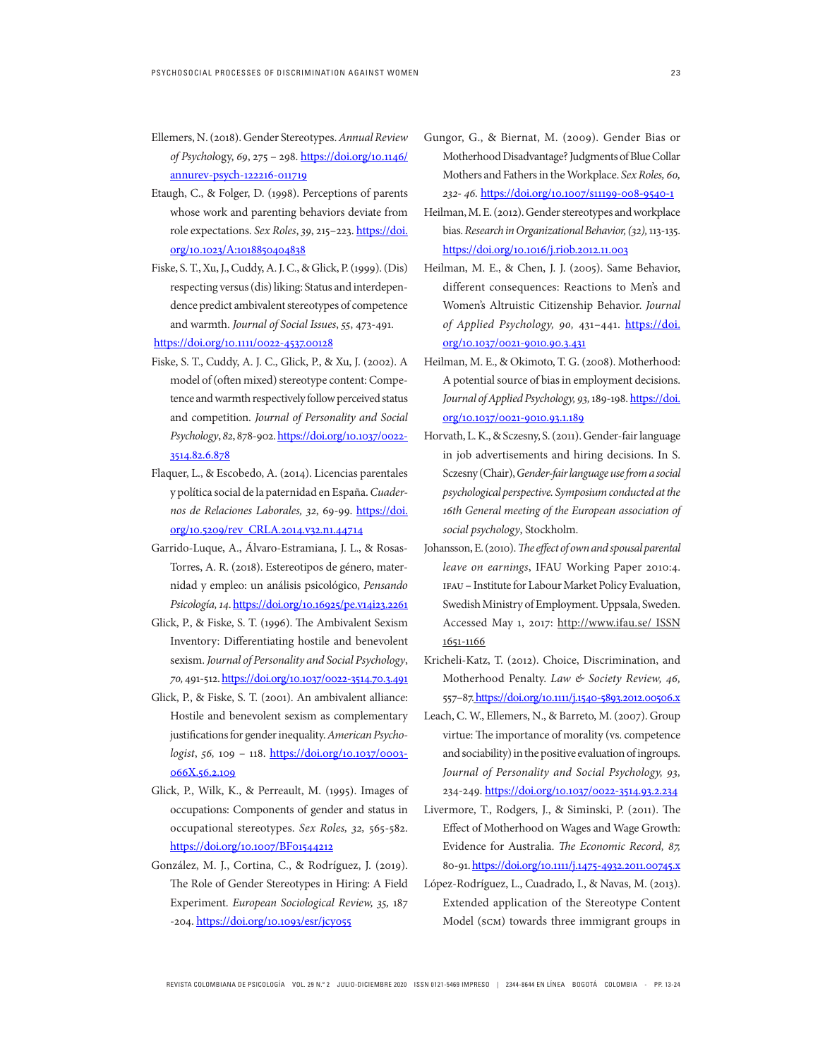- Ellemers, N. (2018). Gender Stereotypes. *Annual Review of Psychol*ogy, *69*, 275 – 298. https://doi.org/10.1146/ annurev-psych-122216-011719
- Etaugh, C., & Folger, D. (1998). Perceptions of parents whose work and parenting behaviors deviate from role expectations. *Sex Roles*, *39*, 215–223. https://doi. org/10.1023/A:1018850404838
- Fiske, S. T., Xu, J., Cuddy, A. J. C., & Glick, P. (1999). (Dis) respecting versus (dis) liking: Status and interdependence predict ambivalent stereotypes of competence and warmth. *Journal of Social Issues*, *55*, 473-491. https://doi.org/10.1111/0022-4537.00128
- Fiske, S. T., Cuddy, A. J. C., Glick, P., & Xu, J. (2002). A model of (often mixed) stereotype content: Competence and warmth respectively follow perceived status and competition. *Journal of Personality and Social Psychology*, *82*, 878-902. https://doi.org/10.1037/0022- 3514.82.6.878
- Flaquer, L., & Escobedo, A. (2014). Licencias parentales y política social de la paternidad en España. *Cuadernos de Relaciones Laborales, 32*, 69-99. https://doi. org/10.5209/rev\_CRLA.2014.v32.n1.44714
- Garrido-Luque, A., Álvaro-Estramiana, J. L., & Rosas-Torres, A. R. (2018). Estereotipos de género, maternidad y empleo: un análisis psicológico, *Pensando Psicología, 14*. https://doi.org/10.16925/pe.v14i23.2261
- Glick, P., & Fiske, S. T. (1996). The Ambivalent Sexism Inventory: Differentiating hostile and benevolent sexism. *Journal of Personality and Social Psychology*, *70,* 491-512. https://doi.org/10.1037/0022-3514.70.3.491
- Glick, P., & Fiske, S. T. (2001). An ambivalent alliance: Hostile and benevolent sexism as complementary justifications for gender inequality. *American Psychologist*, *56,* 109 – 118. https://doi.org/10.1037/0003- 066X.56.2.109
- Glick, P., Wilk, K., & Perreault, M. (1995). Images of occupations: Components of gender and status in occupational stereotypes. *Sex Roles, 32,* 565-582. https://doi.org/10.1007/BF01544212
- González, M. J., Cortina, C., & Rodríguez, J. (2019). The Role of Gender Stereotypes in Hiring: A Field Experiment. *European Sociological Review, 35,* 187 -204. https://doi.org/10.1093/esr/jcy055
- Gungor, G., & Biernat, M. (2009). Gender Bias or Motherhood Disadvantage? Judgments of Blue Collar Mothers and Fathers in the Workplace. *Sex Roles, 60, 232- 46.* https://doi.org/10.1007/s11199-008-9540-1
- Heilman, M. E. (2012). Gender stereotypes and workplace bias. *Research in Organizational Behavior, (32),* 113-135. https://doi.org/10.1016/j.riob.2012.11.003
- Heilman, M. E., & Chen, J. J. (2005). Same Behavior, different consequences: Reactions to Men's and Women's Altruistic Citizenship Behavior. *Journal of Applied Psychology, 90,* 431–441. https://doi. org/10.1037/0021-9010.90.3.431
- Heilman, M. E., & Okimoto, T. G. (2008). Motherhood: A potential source of bias in employment decisions. *Journal of Applied Psychology, 93,* 189-198. https://doi. org/10.1037/0021-9010.93.1.189
- Horvath, L. K., & Sczesny, S. (2011). Gender-fair language in job advertisements and hiring decisions. In S. Sczesny (Chair), *Gender-fair language use from a social psychological perspective. Symposium conducted at the 16th General meeting of the European association of social psychology*, Stockholm.
- Johansson, E. (2010). *The effect of own and spousal parental leave on earnings*, IFAU Working Paper 2010:4. ifau – Institute for Labour Market Policy Evaluation, Swedish Ministry of Employment. Uppsala, Sweden. Accessed May 1, 2017: http://www.ifau.se/ ISSN 1651-1166
- Kricheli-Katz, T. (2012). Choice, Discrimination, and Motherhood Penalty. *Law & Society Review, 46,* 557–87.https://doi.org/10.1111/j.1540-5893.2012.00506.x
- Leach, C. W., Ellemers, N., & Barreto, M. (2007). Group virtue: The importance of morality (vs. competence and sociability) in the positive evaluation of ingroups. *Journal of Personality and Social Psychology, 93,*  234-249. https://doi.org/10.1037/0022-3514.93.2.234
- Livermore, T., Rodgers, J., & Siminski, P. (2011). The Effect of Motherhood on Wages and Wage Growth: Evidence for Australia. *The Economic Record, 87,* 80-91. https://doi.org/10.1111/j.1475-4932.2011.00745.x
- López-Rodríguez, L., Cuadrado, I., & Navas, M. (2013). Extended application of the Stereotype Content Model (scm) towards three immigrant groups in